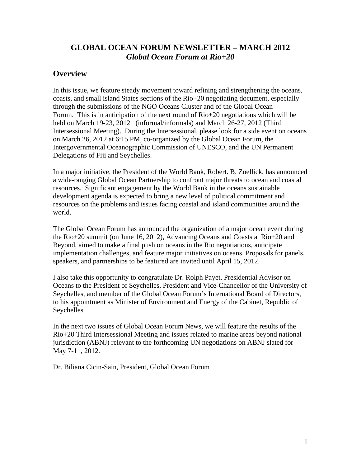# **GLOBAL OCEAN FORUM NEWSLETTER – MARCH 2012**  *Global Ocean Forum at Rio+20*

#### **Overview**

In this issue, we feature steady movement toward refining and strengthening the oceans, coasts, and small island States sections of the Rio+20 negotiating document, especially through the submissions of the NGO Oceans Cluster and of the Global Ocean Forum. This is in anticipation of the next round of Rio+20 negotiations which will be held on March 19-23, 2012 (informal/informals) and March 26-27, 2012 (Third Intersessional Meeting). During the Intersessional, please look for a side event on oceans on March 26, 2012 at 6:15 PM, co-organized by the Global Ocean Forum, the Intergovernmental Oceanographic Commission of UNESCO, and the UN Permanent Delegations of Fiji and Seychelles.

In a major initiative, the President of the World Bank, Robert. B. Zoellick, has announced a wide-ranging Global Ocean Partnership to confront major threats to ocean and coastal resources. Significant engagement by the World Bank in the oceans sustainable development agenda is expected to bring a new level of political commitment and resources on the problems and issues facing coastal and island communities around the world.

The Global Ocean Forum has announced the organization of a major ocean event during the Rio+20 summit (on June 16, 2012), Advancing Oceans and Coasts at Rio+20 and Beyond, aimed to make a final push on oceans in the Rio negotiations, anticipate implementation challenges, and feature major initiatives on oceans. Proposals for panels, speakers, and partnerships to be featured are invited until April 15, 2012.

I also take this opportunity to congratulate Dr. Rolph Payet, Presidential Advisor on Oceans to the President of Seychelles, President and Vice-Chancellor of the University of Seychelles, and member of the Global Ocean Forum's International Board of Directors, to his appointment as Minister of Environment and Energy of the Cabinet, Republic of Seychelles.

In the next two issues of Global Ocean Forum News, we will feature the results of the Rio+20 Third Intersessional Meeting and issues related to marine areas beyond national jurisdiction (ABNJ) relevant to the forthcoming UN negotiations on ABNJ slated for May 7-11, 2012.

Dr. Biliana Cicin-Sain, President, Global Ocean Forum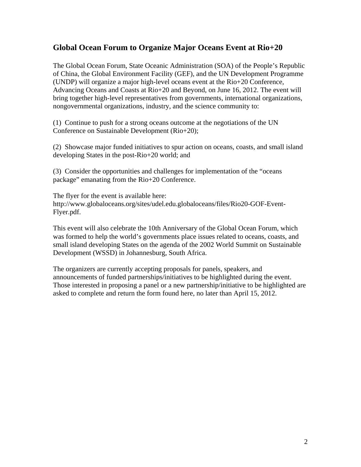#### **Global Ocean Forum to Organize Major Oceans Event at Rio+20**

The Global Ocean Forum, State Oceanic Administration (SOA) of the People's Republic of China, the Global Environment Facility (GEF), and the UN Development Programme (UNDP) will organize a major high-level oceans event at the Rio+20 Conference, Advancing Oceans and Coasts at Rio+20 and Beyond, on June 16, 2012. The event will bring together high-level representatives from governments, international organizations, nongovernmental organizations, industry, and the science community to:

(1) Continue to push for a strong oceans outcome at the negotiations of the UN Conference on Sustainable Development (Rio+20);

(2) Showcase major funded initiatives to spur action on oceans, coasts, and small island developing States in the post-Rio+20 world; and

(3) Consider the opportunities and challenges for implementation of the "oceans package" emanating from the Rio+20 Conference.

The flyer for the event is available here: http://www.globaloceans.org/sites/udel.edu.globaloceans/files/Rio20-GOF-Event-Flyer.pdf.

This event will also celebrate the 10th Anniversary of the Global Ocean Forum, which was formed to help the world's governments place issues related to oceans, coasts, and small island developing States on the agenda of the 2002 World Summit on Sustainable Development (WSSD) in Johannesburg, South Africa.

The organizers are currently accepting proposals for panels, speakers, and announcements of funded partnerships/initiatives to be highlighted during the event. Those interested in proposing a panel or a new partnership/initiative to be highlighted are asked to complete and return the form found here, no later than April 15, 2012.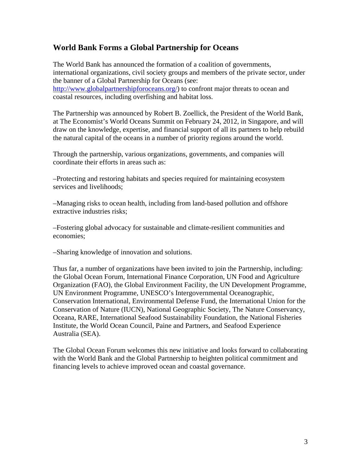#### **World Bank Forms a Global Partnership for Oceans**

The World Bank has announced the formation of a coalition of governments, international organizations, civil society groups and members of the private sector, under the banner of a Global Partnership for Oceans (see: http://www.globalpartnershipforoceans.org/) to confront major threats to ocean and coastal resources, including overfishing and habitat loss.

The Partnership was announced by Robert B. Zoellick, the President of the World Bank, at The Economist's World Oceans Summit on February 24, 2012, in Singapore, and will draw on the knowledge, expertise, and financial support of all its partners to help rebuild the natural capital of the oceans in a number of priority regions around the world.

Through the partnership, various organizations, governments, and companies will coordinate their efforts in areas such as:

–Protecting and restoring habitats and species required for maintaining ecosystem services and livelihoods;

–Managing risks to ocean health, including from land-based pollution and offshore extractive industries risks;

–Fostering global advocacy for sustainable and climate-resilient communities and economies;

–Sharing knowledge of innovation and solutions.

Thus far, a number of organizations have been invited to join the Partnership, including: the Global Ocean Forum, International Finance Corporation, UN Food and Agriculture Organization (FAO), the Global Environment Facility, the UN Development Programme, UN Environment Programme, UNESCO's Intergovernmental Oceanographic, Conservation International, Environmental Defense Fund, the International Union for the Conservation of Nature (IUCN), National Geographic Society, The Nature Conservancy, Oceana, RARE, International Seafood Sustainability Foundation, the National Fisheries Institute, the World Ocean Council, Paine and Partners, and Seafood Experience Australia (SEA).

The Global Ocean Forum welcomes this new initiative and looks forward to collaborating with the World Bank and the Global Partnership to heighten political commitment and financing levels to achieve improved ocean and coastal governance.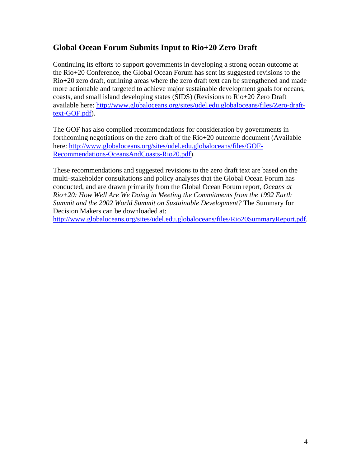# **Global Ocean Forum Submits Input to Rio+20 Zero Draft**

Continuing its efforts to support governments in developing a strong ocean outcome at the Rio+20 Conference, the Global Ocean Forum has sent its suggested revisions to the Rio+20 zero draft, outlining areas where the zero draft text can be strengthened and made more actionable and targeted to achieve major sustainable development goals for oceans, coasts, and small island developing states (SIDS) (Revisions to Rio+20 Zero Draft available here: http://www.globaloceans.org/sites/udel.edu.globaloceans/files/Zero-drafttext-GOF.pdf).

The GOF has also compiled recommendations for consideration by governments in forthcoming negotiations on the zero draft of the Rio+20 outcome document (Available here: http://www.globaloceans.org/sites/udel.edu.globaloceans/files/GOF-Recommendations-OceansAndCoasts-Rio20.pdf).

These recommendations and suggested revisions to the zero draft text are based on the multi-stakeholder consultations and policy analyses that the Global Ocean Forum has conducted, and are drawn primarily from the Global Ocean Forum report*, Oceans at Rio+20: How Well Are We Doing in Meeting the Commitments from the 1992 Earth Summit and the 2002 World Summit on Sustainable Development?* The Summary for Decision Makers can be downloaded at:

http://www.globaloceans.org/sites/udel.edu.globaloceans/files/Rio20SummaryReport.pdf.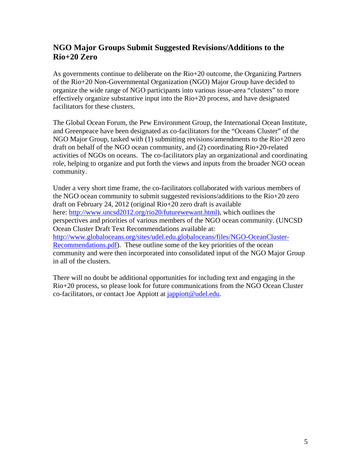# **NGO Major Groups Submit Suggested Revisions/Additions to the Rio+20 Zero**

As governments continue to deliberate on the Rio+20 outcome, the Organizing Partners of the Rio+20 Non-Governmental Organization (NGO) Major Group have decided to organize the wide range of NGO participants into various issue-area "clusters" to more effectively organize substantive input into the Rio+20 process, and have designated facilitators for these clusters.

The Global Ocean Forum, the Pew Environment Group, the International Ocean Institute, and Greenpeace have been designated as co-facilitators for the "Oceans Cluster" of the NGO Major Group, tasked with (1) submitting revisions/amendments to the Rio+20 zero draft on behalf of the NGO ocean community, and (2) coordinating Rio+20-related activities of NGOs on oceans. The co-facilitators play an organizational and coordinating role, helping to organize and put forth the views and inputs from the broader NGO ocean community.

Under a very short time frame, the co-facilitators collaborated with various members of the NGO ocean community to submit suggested revisions/additions to the Rio+20 zero draft on February 24, 2012 (original Rio+20 zero draft is available here: http://www.uncsd2012.org/rio20/futurewewant.html), which outlines the perspectives and priorities of various members of the NGO ocean community. (UNCSD Ocean Cluster Draft Text Recommendations available at: http://www.globaloceans.org/sites/udel.edu.globaloceans/files/NGO-OceanCluster-Recommendations.pdf). These outline some of the key priorities of the ocean community and were then incorporated into consolidated input of the NGO Major Group in all of the clusters.

There will no doubt be additional opportunities for including text and engaging in the Rio+20 process, so please look for future communications from the NGO Ocean Cluster co-facilitators, or contact Joe Appiott at *jappiott@udel.edu.*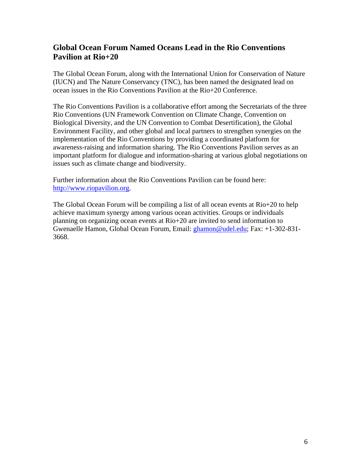## **Global Ocean Forum Named Oceans Lead in the Rio Conventions Pavilion at Rio+20**

The Global Ocean Forum, along with the International Union for Conservation of Nature (IUCN) and The Nature Conservancy (TNC), has been named the designated lead on ocean issues in the Rio Conventions Pavilion at the Rio+20 Conference.

The Rio Conventions Pavilion is a collaborative effort among the Secretariats of the three Rio Conventions (UN Framework Convention on Climate Change, Convention on Biological Diversity, and the UN Convention to Combat Desertification), the Global Environment Facility, and other global and local partners to strengthen synergies on the implementation of the Rio Conventions by providing a coordinated platform for awareness-raising and information sharing. The Rio Conventions Pavilion serves as an important platform for dialogue and information-sharing at various global negotiations on issues such as climate change and biodiversity.

Further information about the Rio Conventions Pavilion can be found here: http://www.riopavilion.org.

The Global Ocean Forum will be compiling a list of all ocean events at Rio+20 to help achieve maximum synergy among various ocean activities. Groups or individuals planning on organizing ocean events at Rio+20 are invited to send information to Gwenaelle Hamon, Global Ocean Forum, Email: ghamon@udel.edu; Fax: +1-302-831- 3668.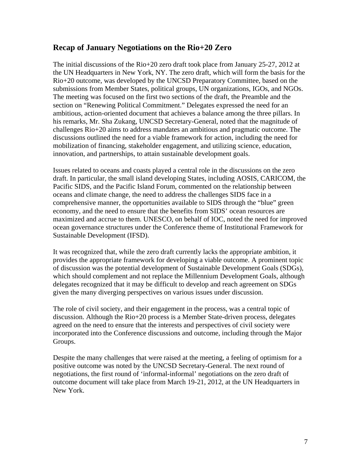#### **Recap of January Negotiations on the Rio+20 Zero**

The initial discussions of the Rio+20 zero draft took place from January 25-27, 2012 at the UN Headquarters in New York, NY. The zero draft, which will form the basis for the Rio+20 outcome, was developed by the UNCSD Preparatory Committee, based on the submissions from Member States, political groups, UN organizations, IGOs, and NGOs. The meeting was focused on the first two sections of the draft, the Preamble and the section on "Renewing Political Commitment." Delegates expressed the need for an ambitious, action-oriented document that achieves a balance among the three pillars. In his remarks, Mr. Sha Zukang, UNCSD Secretary-General, noted that the magnitude of challenges Rio+20 aims to address mandates an ambitious and pragmatic outcome. The discussions outlined the need for a viable framework for action, including the need for mobilization of financing, stakeholder engagement, and utilizing science, education, innovation, and partnerships, to attain sustainable development goals.

Issues related to oceans and coasts played a central role in the discussions on the zero draft. In particular, the small island developing States, including AOSIS, CARICOM, the Pacific SIDS, and the Pacific Island Forum, commented on the relationship between oceans and climate change, the need to address the challenges SIDS face in a comprehensive manner, the opportunities available to SIDS through the "blue" green economy, and the need to ensure that the benefits from SIDS' ocean resources are maximized and accrue to them. UNESCO, on behalf of IOC, noted the need for improved ocean governance structures under the Conference theme of Institutional Framework for Sustainable Development (IFSD).

It was recognized that, while the zero draft currently lacks the appropriate ambition, it provides the appropriate framework for developing a viable outcome. A prominent topic of discussion was the potential development of Sustainable Development Goals (SDGs), which should complement and not replace the Millennium Development Goals, although delegates recognized that it may be difficult to develop and reach agreement on SDGs given the many diverging perspectives on various issues under discussion.

The role of civil society, and their engagement in the process, was a central topic of discussion. Although the Rio+20 process is a Member State-driven process, delegates agreed on the need to ensure that the interests and perspectives of civil society were incorporated into the Conference discussions and outcome, including through the Major Groups.

Despite the many challenges that were raised at the meeting, a feeling of optimism for a positive outcome was noted by the UNCSD Secretary-General. The next round of negotiations, the first round of 'informal-informal' negotiations on the zero draft of outcome document will take place from March 19-21, 2012, at the UN Headquarters in New York.